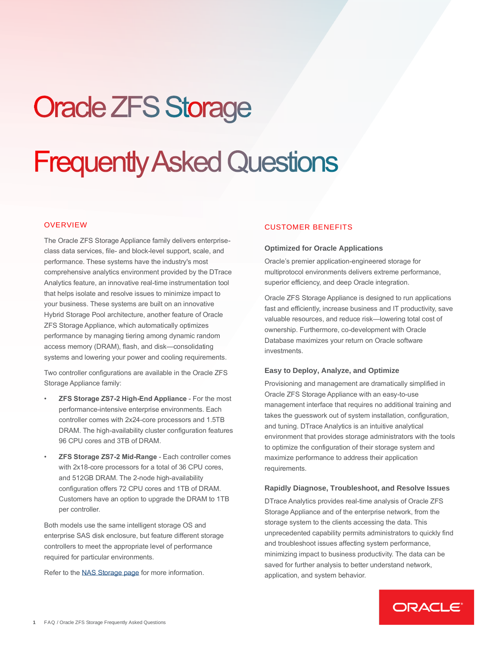# **Oracle ZFS Storage**

# **Frequently Asked Questions**

# **OVERVIEW**

The Oracle ZFS Storage Appliance family delivers enterpriseclass data services, file- and block-level support, scale, and performance. These systems have the industry's most comprehensive analytics environment provided by the DTrace Analytics feature, an innovative real-time instrumentation tool that helps isolate and resolve issues to minimize impact to your business. These systems are built on an innovative Hybrid Storage Pool architecture, another feature of Oracle ZFS Storage Appliance, which automatically optimizes performance by managing tiering among dynamic random access memory (DRAM), flash, and disk—consolidating systems and lowering your power and cooling requirements.

Two controller configurations are available in the Oracle ZFS Storage Appliance family:

- **ZFS Storage ZS7-2 High-End Appliance** For the most performance-intensive enterprise environments. Each controller comes with 2x24-core processors and 1.5TB DRAM. The high-availability cluster configuration features 96 CPU cores and 3TB of DRAM.
- **ZFS Storage ZS7-2 Mid-Range** Each controller comes with 2x18-core processors for a total of 36 CPU cores, and 512GB DRAM. The 2-node high-availability configuration offers 72 CPU cores and 1TB of DRAM. Customers have an option to upgrade the DRAM to 1TB per controller.

Both models use the same intelligent storage OS and enterprise SAS disk enclosure, but feature different storage controllers to meet the appropriate level of performance required for particular environments.

Refer to the [NAS Storage page](http://www.oracle.com/zfsstorage) for more information.

# CUSTOMER BENEFITS

#### **Optimized for Oracle Applications**

Oracle's premier application-engineered storage for multiprotocol environments delivers extreme performance, superior efficiency, and deep Oracle integration.

Oracle ZFS Storage Appliance is designed to run applications fast and efficiently, increase business and IT productivity, save valuable resources, and reduce risk—lowering total cost of ownership. Furthermore, co-development with Oracle Database maximizes your return on Oracle software investments.

#### **Easy to Deploy, Analyze, and Optimize**

Provisioning and management are dramatically simplified in Oracle ZFS Storage Appliance with an easy-to-use management interface that requires no additional training and takes the guesswork out of system installation, configuration, and tuning. DTrace Analytics is an intuitive analytical environment that provides storage administrators with the tools to optimize the configuration of their storage system and maximize performance to address their application requirements.

#### **Rapidly Diagnose, Troubleshoot, and Resolve Issues**

DTrace Analytics provides real-time analysis of Oracle ZFS Storage Appliance and of the enterprise network, from the storage system to the clients accessing the data. This unprecedented capability permits administrators to quickly find and troubleshoot issues affecting system performance, minimizing impact to business productivity. The data can be saved for further analysis to better understand network, application, and system behavior.

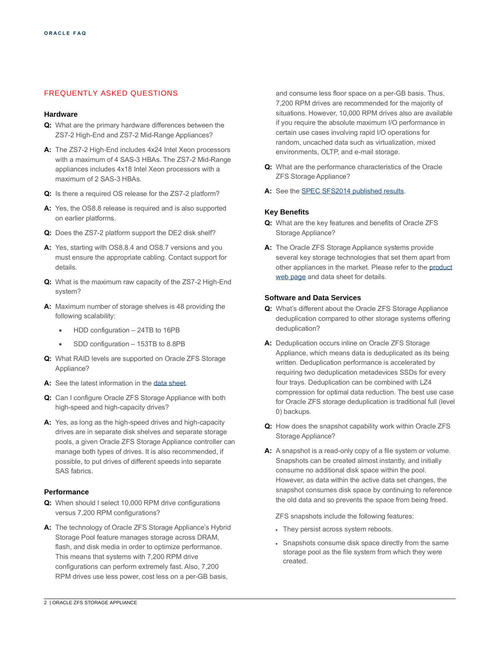# FREQUENTLY ASKED QUESTIONS

## **Hardware**

- **Q:** What are the primary hardware differences between the ZS7-2 High-End and ZS7-2 Mid-Range Appliances?
- **A:** The ZS7-2 High-End includes 4x24 Intel Xeon processors with a maximum of 4 SAS-3 HBAs. The ZS7-2 Mid-Range appliances includes 4x18 Intel Xeon processors with a maximum of 2 SAS-3 HBAs.
- **Q:** Is there a required OS release for the ZS7-2 platform?
- **A:** Yes, the OS8.8 release is required and is also supported on earlier platforms.
- **Q:** Does the ZS7-2 platform support the DE2 disk shelf?
- **A:** Yes, starting with OS8.8.4 and OS8.7 versions and you must ensure the appropriate cabling. Contact support for details.
- **Q:** What is the maximum raw capacity of the ZS7-2 High-End system?
- **A:** Maximum number of storage shelves is 48 providing the following scalability:
	- HDD configuration 24TB to 16PB
	- SDD configuration 153TB to 8.8PB
- **Q:** What RAID levels are supported on Oracle ZFS Storage Appliance?
- **A:** See the latest information in the [data sheet.](https://www.oracle.com/a/ocom/docs/zs7-2-datasheet.pdf)
- **Q:** Can I configure Oracle ZFS Storage Appliance with both high-speed and high-capacity drives?
- **A:** Yes, as long as the high-speed drives and high-capacity drives are in separate disk shelves and separate storage pools, a given Oracle ZFS Storage Appliance controller can manage both types of drives. It is also recommended, if possible, to put drives of different speeds into separate SAS fabrics.

## **Performance**

- **Q:** When should I select 10,000 RPM drive configurations versus 7,200 RPM configurations?
- **A:** The technology of Oracle ZFS Storage Appliance's Hybrid Storage Pool feature manages storage across DRAM, flash, and disk media in order to optimize performance. This means that systems with 7,200 RPM drive configurations can perform extremely fast. Also, 7,200 RPM drives use less power, cost less on a per-GB basis,

and consume less floor space on a per-GB basis. Thus, 7,200 RPM drives are recommended for the majority of situations. However, 10,000 RPM drives also are available if you require the absolute maximum I/O performance in certain use cases involving rapid I/O operations for random, uncached data such as virtualization, mixed environments, OLTP, and e-mail storage.

- **Q:** What are the performance characteristics of the Oracle ZFS Storage Appliance?
- **A:** See the SPEC [SFS2014 published results.](https://www.spec.org/sfs2014/results/sfs2014.html)

## **Key Benefits**

- **Q:** What are the key features and benefits of Oracle ZFS Storage Appliance?
- **A:** The Oracle ZFS Storage Appliance systems provide several key storage technologies that set them apart from other appliances in the market. Please refer to th[e product](http://www.oracle.com/us/products/servers-storage/storage/nas/overview/index.html)  [web page](http://www.oracle.com/us/products/servers-storage/storage/nas/overview/index.html) and data sheet for details.

## **Software and Data Services**

- **Q:** What's different about the Oracle ZFS Storage Appliance deduplication compared to other storage systems offering deduplication?
- **A:** Deduplication occurs inline on Oracle ZFS Storage Appliance, which means data is deduplicated as its being written. Deduplication performance is accelerated by requiring two deduplication metadevices SSDs for every four trays. Deduplication can be combined with LZ4 compression for optimal data reduction. The best use case for Oracle ZFS storage deduplication is traditional full (level 0) backups.
- **Q:** How does the snapshot capability work within Oracle ZFS Storage Appliance?
- **A:** A snapshot is a read-only copy of a file system or volume. Snapshots can be created almost instantly, and initially consume no additional disk space within the pool. However, as data within the active data set changes, the snapshot consumes disk space by continuing to reference the old data and so prevents the space from being freed.

ZFS snapshots include the following features:

- They persist across system reboots.
- Snapshots consume disk space directly from the same storage pool as the file system from which they were created.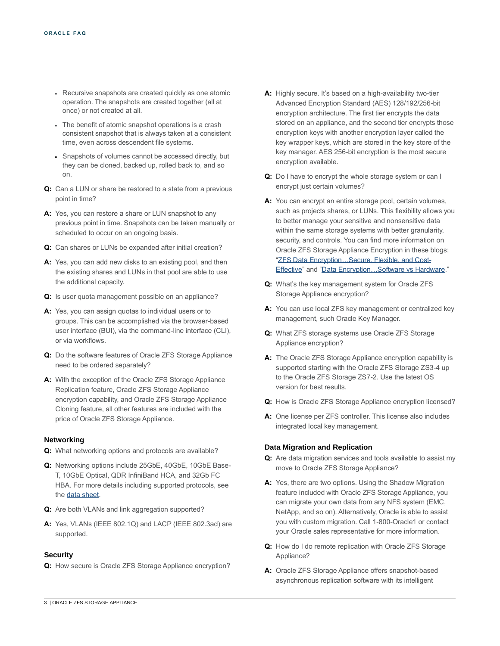- Recursive snapshots are created quickly as one atomic operation. The snapshots are created together (all at once) or not created at all.
- The benefit of atomic snapshot operations is a crash consistent snapshot that is always taken at a consistent time, even across descendent file systems.
- Snapshots of volumes cannot be accessed directly, but they can be cloned, backed up, rolled back to, and so on.
- **Q:** Can a LUN or share be restored to a state from a previous point in time?
- **A:** Yes, you can restore a share or LUN snapshot to any previous point in time. Snapshots can be taken manually or scheduled to occur on an ongoing basis.
- **Q:** Can shares or LUNs be expanded after initial creation?
- **A:** Yes, you can add new disks to an existing pool, and then the existing shares and LUNs in that pool are able to use the additional capacity.
- **Q:** Is user quota management possible on an appliance?
- **A:** Yes, you can assign quotas to individual users or to groups. This can be accomplished via the browser-based user interface (BUI), via the command-line interface (CLI), or via workflows.
- **Q:** Do the software features of Oracle ZFS Storage Appliance need to be ordered separately?
- **A:** With the exception of the Oracle ZFS Storage Appliance Replication feature, Oracle ZFS Storage Appliance encryption capability, and Oracle ZFS Storage Appliance Cloning feature, all other features are included with the price of Oracle ZFS Storage Appliance.

## **Networking**

- **Q:** What networking options and protocols are available?
- **Q:** Networking options include 25GbE, 40GbE, 10GbE Base-T, 10GbE Optical, QDR InfiniBand HCA, and 32Gb FC HBA. For more details including supported protocols, see th[e data sheet.](https://www.oracle.com/a/ocom/docs/zs7-2-datasheet.pdf)
- **Q:** Are both VLANs and link aggregation supported?
- **A:** Yes, VLANs (IEEE 802.1Q) and LACP (IEEE 802.3ad) are supported.

## **Security**

**Q:** How secure is Oracle ZFS Storage Appliance encryption?

- **A:** Highly secure. It's based on a high-availability two-tier Advanced Encryption Standard (AES) 128/192/256-bit encryption architecture. The first tier encrypts the data stored on an appliance, and the second tier encrypts those encryption keys with another encryption layer called the key wrapper keys, which are stored in the key store of the key manager. AES 256-bit encryption is the most secure encryption available.
- **Q:** Do I have to encrypt the whole storage system or can I encrypt just certain volumes?
- **A:** You can encrypt an entire storage pool, certain volumes, such as projects shares, or LUNs. This flexibility allows you to better manage your sensitive and nonsensitive data within the same storage systems with better granularity, security, and controls. You can find more information on Oracle ZFS Storage Appliance Encryption in these blogs: ["ZFS Data Encryption…Secure, Flexible, and Cost-](https://blogs.oracle.com/Wonders-of-ZFS-Storage/entry/zfs_data_encryption_secure_flexible)[Effective"](https://blogs.oracle.com/Wonders-of-ZFS-Storage/entry/zfs_data_encryption_secure_flexible) and ["Data Encryption…Software vs Hardware.](https://blogs.oracle.com/Wonders-of-ZFS-Storage/entry/data_encryption_software_vs_hardware)"
- **Q:** What's the key management system for Oracle ZFS Storage Appliance encryption?
- **A:** You can use local ZFS key management or centralized key management, such Oracle Key Manager.
- **Q:** What ZFS storage systems use Oracle ZFS Storage Appliance encryption?
- **A:** The Oracle ZFS Storage Appliance encryption capability is supported starting with the Oracle ZFS Storage ZS3-4 up to the Oracle ZFS Storage ZS7-2. Use the latest OS version for best results.
- **Q:** How is Oracle ZFS Storage Appliance encryption licensed?
- **A:** One license per ZFS controller. This license also includes integrated local key management.

### **Data Migration and Replication**

- **Q:** Are data migration services and tools available to assist my move to Oracle ZFS Storage Appliance?
- **A:** Yes, there are two options. Using the Shadow Migration feature included with Oracle ZFS Storage Appliance, you can migrate your own data from any NFS system (EMC, NetApp, and so on). Alternatively, Oracle is able to assist you with custom migration. Call 1-800-Oracle1 or contact your Oracle sales representative for more information.
- **Q:** How do I do remote replication with Oracle ZFS Storage Appliance?
- **A:** Oracle ZFS Storage Appliance offers snapshot-based asynchronous replication software with its intelligent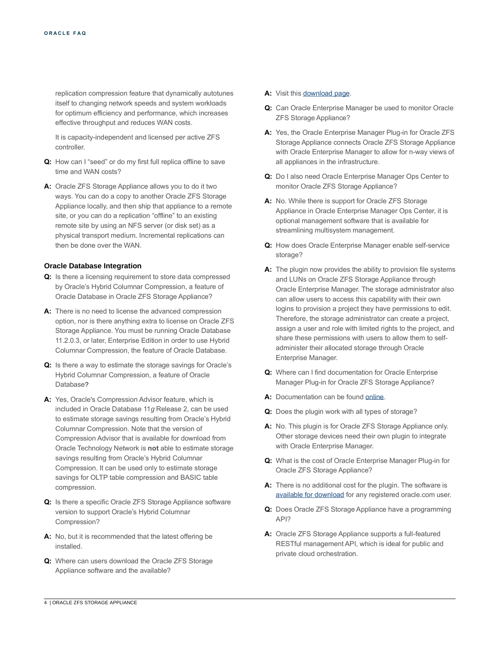replication compression feature that dynamically autotunes itself to changing network speeds and system workloads for optimum efficiency and performance, which increases effective throughput and reduces WAN costs.

It is capacity-independent and licensed per active ZFS controller.

- **Q:** How can I "seed" or do my first full replica offline to save time and WAN costs?
- **A:** Oracle ZFS Storage Appliance allows you to do it two ways. You can do a copy to another Oracle ZFS Storage Appliance locally, and then ship that appliance to a remote site, or you can do a replication "offline" to an existing remote site by using an NFS server (or disk set) as a physical transport medium. Incremental replications can then be done over the WAN.

## **Oracle Database Integration**

- **Q:** Is there a licensing requirement to store data compressed by Oracle's Hybrid Columnar Compression, a feature of Oracle Database in Oracle ZFS Storage Appliance?
- **A:** There is no need to license the advanced compression option, nor is there anything extra to license on Oracle ZFS Storage Appliance. You must be running Oracle Database 11.2.0.3, or later, Enterprise Edition in order to use Hybrid Columnar Compression, the feature of Oracle Database.
- **Q:** Is there a way to estimate the storage savings for Oracle's Hybrid Columnar Compression, a feature of Oracle Database?
- **A:** Yes, Oracle's Compression Advisor feature, which is included in Oracle Database 11*g* Release 2, can be used to estimate storage savings resulting from Oracle's Hybrid Columnar Compression. Note that the version of Compression Advisor that is available for download from Oracle Technology Network is **not** able to estimate storage savings resulting from Oracle's Hybrid Columnar Compression. It can be used only to estimate storage savings for OLTP table compression and BASIC table compression.
- **Q:** Is there a specific Oracle ZFS Storage Appliance software version to support Oracle's Hybrid Columnar Compression?
- **A:** No, but it is recommended that the latest offering be installed.
- **Q:** Where can users download the Oracle ZFS Storage Appliance software and the available?

### A: Visit thi[s download page.](http://www.oracle.com/technetwork/server-storage/sun-unified-storage/downloads/index.html)

- **Q:** Can Oracle Enterprise Manager be used to monitor Oracle ZFS Storage Appliance?
- **A:** Yes, the Oracle Enterprise Manager Plug-in for Oracle ZFS Storage Appliance connects Oracle ZFS Storage Appliance with Oracle Enterprise Manager to allow for n-way views of all appliances in the infrastructure.
- **Q:** Do I also need Oracle Enterprise Manager Ops Center to monitor Oracle ZFS Storage Appliance?
- **A:** No. While there is support for Oracle ZFS Storage Appliance in Oracle Enterprise Manager Ops Center, it is optional management software that is available for streamlining multisystem management.
- **Q:** How does Oracle Enterprise Manager enable self-service storage?
- **A:** The plugin now provides the ability to provision file systems and LUNs on Oracle ZFS Storage Appliance through Oracle Enterprise Manager. The storage administrator also can allow users to access this capability with their own logins to provision a project they have permissions to edit. Therefore, the storage administrator can create a project, assign a user and role with limited rights to the project, and share these permissions with users to allow them to selfadminister their allocated storage through Oracle Enterprise Manager.
- **Q:** Where can I find documentation for Oracle Enterprise Manager Plug-in for Oracle ZFS Storage Appliance?
- **A:** Documentation can be foun[d online.](https://www.oracle.com/storage/nas/em-plug-in/index.html)
- **Q:** Does the plugin work with all types of storage?
- **A:** No. This plugin is for Oracle ZFS Storage Appliance only. Other storage devices need their own plugin to integrate with Oracle Enterprise Manager.
- **Q:** What is the cost of Oracle Enterprise Manager Plug-in for Oracle ZFS Storage Appliance?
- **A:** There is no additional cost for the plugin. The software is [available for download](http://www.oracle.com/technetwork/oem/grid-control/downloads/zfs-storage-plugin-487867.html) for any registered oracle.com user.
- **Q:** Does Oracle ZFS Storage Appliance have a programming API?
- **A:** Oracle ZFS Storage Appliance supports a full-featured RESTful management API, which is ideal for public and private cloud orchestration.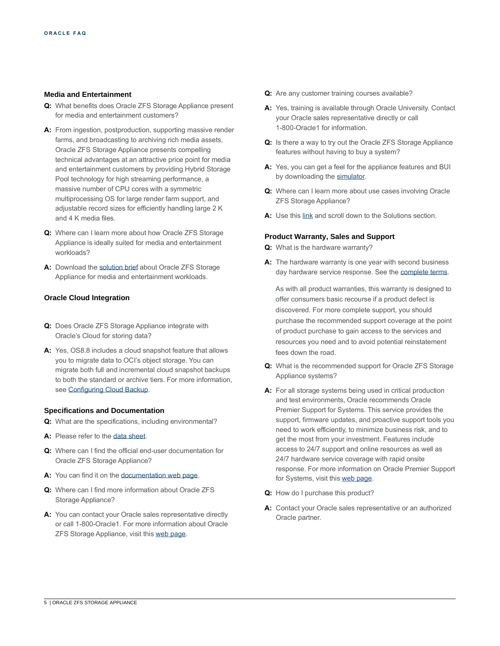### **Media and Entertainment**

- **Q:** What benefits does Oracle ZFS Storage Appliance present for media and entertainment customers?
- **A:** From ingestion, postproduction, supporting massive render farms, and broadcasting to archiving rich media assets, Oracle ZFS Storage Appliance presents compelling technical advantages at an attractive price point for media and entertainment customers by providing Hybrid Storage Pool technology for high streaming performance, a massive number of CPU cores with a symmetric multiprocessing OS for large render farm support, and adjustable record sizes for efficiently handling large 2 K and 4 K media files.
- **Q:** Where can I learn more about how Oracle ZFS Storage Appliance is ideally suited for media and entertainment workloads?
- **A:** Download th[e solution brief](http://www.oracle.com/us/solutions/sb-zfs-media-workloads-2510980.pdf) about Oracle ZFS Storage Appliance for media and entertainment workloads.

## **Oracle Cloud Integration**

- **Q:** Does Oracle ZFS Storage Appliance integrate with Oracle's Cloud for storing data?
- **A:** Yes, OS8.8 includes a cloud snapshot feature that allows you to migrate data to OCI's object storage. You can migrate both full and incremental cloud snapshot backups to both the standard or archive tiers. For more information, see [Configuring Cloud Backup.](https://docs.oracle.com/cd/F13758_01/html/F13769/gubav.html#scrolltoc)

## **Specifications and Documentation**

- **Q:** What are the specifications, including environmental?
- **A:** Please refer to th[e data sheet.](https://www.oracle.com/a/ocom/docs/zs7-2-datasheet.pdf)
- **Q:** Where can I find the official end-user documentation for Oracle ZFS Storage Appliance?
- **A:** You can find it on th[e documentation web page.](https://docs.oracle.com/en/storage/)
- **Q:** Where can I find more information about Oracle ZFS Storage Appliance?
- **A:** You can contact your Oracle sales representative directly or call 1-800-Oracle1. For more information about Oracle ZFS Storage Appliance, visit thi[s web page.](http://www.oracle.com/us/products/servers-storage/storage/nas/overview/index.html)
- **Q:** Are any customer training courses available?
- **A:** Yes, training is available through Oracle University. Contact your Oracle sales representative directly or call 1-800-Oracle1 for information.
- **Q:** Is there a way to try out the Oracle ZFS Storage Appliance features without having to buy a system?
- **A:** Yes, you can get a feel for the appliance features and BUI by downloading th[e simulator.](http://www.oracle.com/technetwork/server-storage/sun-unified-storage/downloads/sun-simulator-1368816.html)
- **Q:** Where can I learn more about use cases involving Oracle ZFS Storage Appliance?
- **A:** Use thi[s link](https://www.oracle.com/storage/nas/resources.html) and scroll down to the Solutions section.

### **Product Warranty, Sales and Support**

- **Q:** What is the hardware warranty?
- **A:** The hardware warranty is one year with second business day hardware service response. See the [complete terms.](http://www.oracle.com/support/collateral/oracle-hardware-warranty.pdf)

As with all product warranties, this warranty is designed to offer consumers basic recourse if a product defect is discovered. For more complete support, you should purchase the recommended support coverage at the point of product purchase to gain access to the services and resources you need and to avoid potential reinstatement fees down the road.

- **Q:** What is the recommended support for Oracle ZFS Storage Appliance systems?
- **A:** For all storage systems being used in critical production and test environments, Oracle recommends Oracle Premier Support for Systems. This service provides the support, firmware updates, and proactive support tools you need to work efficiently, to minimize business risk, and to get the most from your investment. Features include access to 24/7 support and online resources as well as 24/7 hardware service coverage with rapid onsite response. For more information on Oracle Premier Support for Systems, visit thi[s web page.](http://www.oracle.com/us/support/systems/premier/061681.pdf)
- **Q:** How do I purchase this product?
- **A:** Contact your Oracle sales representative or an authorized Oracle partner.